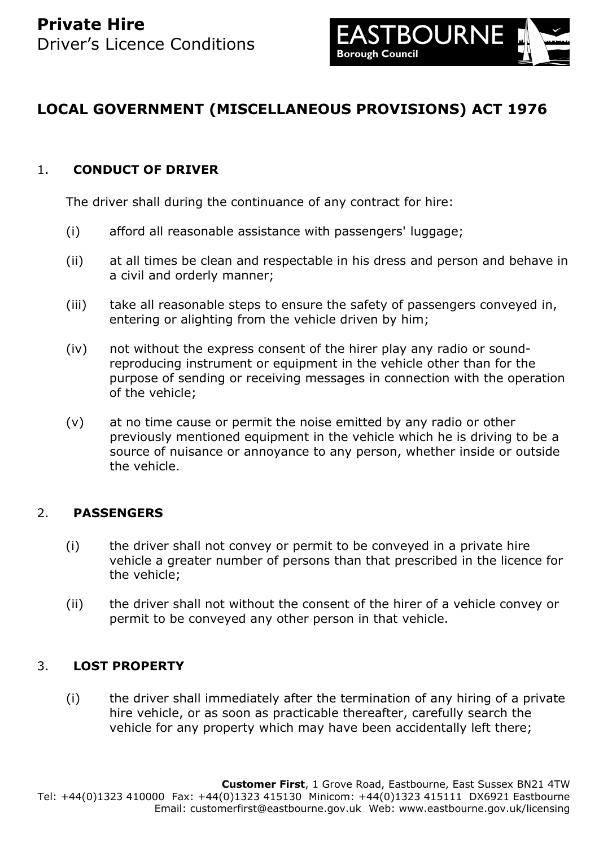

# **LOCAL GOVERNMENT (MISCELLANEOUS PROVISIONS) ACT 1976**

### 1. **CONDUCT OF DRIVER**

The driver shall during the continuance of any contract for hire:

- (i) afford all reasonable assistance with passengers' luggage;
- (ii) at all times be clean and respectable in his dress and person and behave in a civil and orderly manner;
- (iii) take all reasonable steps to ensure the safety of passengers conveyed in, entering or alighting from the vehicle driven by him;
- (iv) not without the express consent of the hirer play any radio or soundreproducing instrument or equipment in the vehicle other than for the purpose of sending or receiving messages in connection with the operation of the vehicle;
- (v) at no time cause or permit the noise emitted by any radio or other previously mentioned equipment in the vehicle which he is driving to be a source of nuisance or annoyance to any person, whether inside or outside the vehicle.

### 2. **PASSENGERS**

- (i) the driver shall not convey or permit to be conveyed in a private hire vehicle a greater number of persons than that prescribed in the licence for the vehicle;
- (ii) the driver shall not without the consent of the hirer of a vehicle convey or permit to be conveyed any other person in that vehicle.

### 3. **LOST PROPERTY**

(i) the driver shall immediately after the termination of any hiring of a private hire vehicle, or as soon as practicable thereafter, carefully search the vehicle for any property which may have been accidentally left there;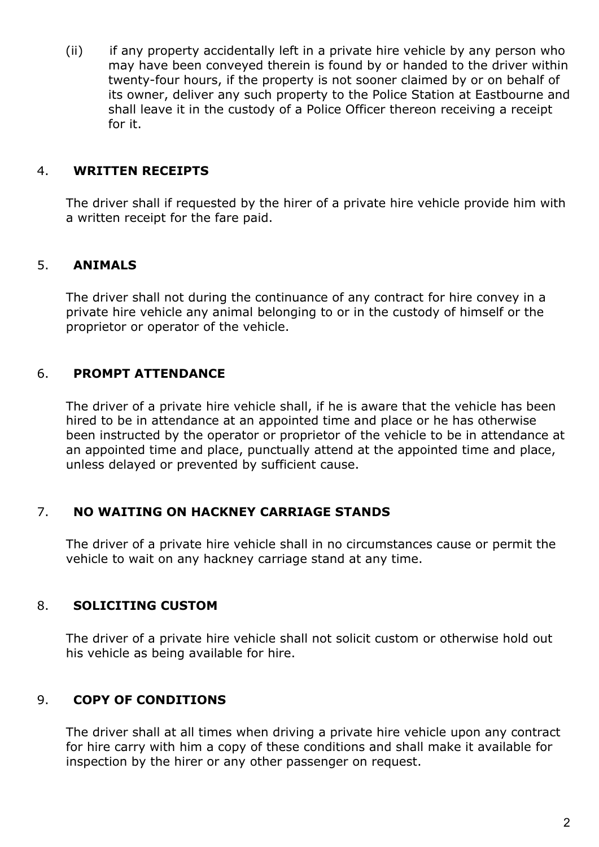(ii) if any property accidentally left in a private hire vehicle by any person who may have been conveyed therein is found by or handed to the driver within twenty-four hours, if the property is not sooner claimed by or on behalf of its owner, deliver any such property to the Police Station at Eastbourne and shall leave it in the custody of a Police Officer thereon receiving a receipt for it.

#### 4. **WRITTEN RECEIPTS**

The driver shall if requested by the hirer of a private hire vehicle provide him with a written receipt for the fare paid.

### 5. **ANIMALS**

The driver shall not during the continuance of any contract for hire convey in a private hire vehicle any animal belonging to or in the custody of himself or the proprietor or operator of the vehicle.

### 6. **PROMPT ATTENDANCE**

The driver of a private hire vehicle shall, if he is aware that the vehicle has been hired to be in attendance at an appointed time and place or he has otherwise been instructed by the operator or proprietor of the vehicle to be in attendance at an appointed time and place, punctually attend at the appointed time and place, unless delayed or prevented by sufficient cause.

### 7. **NO WAITING ON HACKNEY CARRIAGE STANDS**

The driver of a private hire vehicle shall in no circumstances cause or permit the vehicle to wait on any hackney carriage stand at any time.

### 8. **SOLICITING CUSTOM**

The driver of a private hire vehicle shall not solicit custom or otherwise hold out his vehicle as being available for hire.

### 9. **COPY OF CONDITIONS**

The driver shall at all times when driving a private hire vehicle upon any contract for hire carry with him a copy of these conditions and shall make it available for inspection by the hirer or any other passenger on request.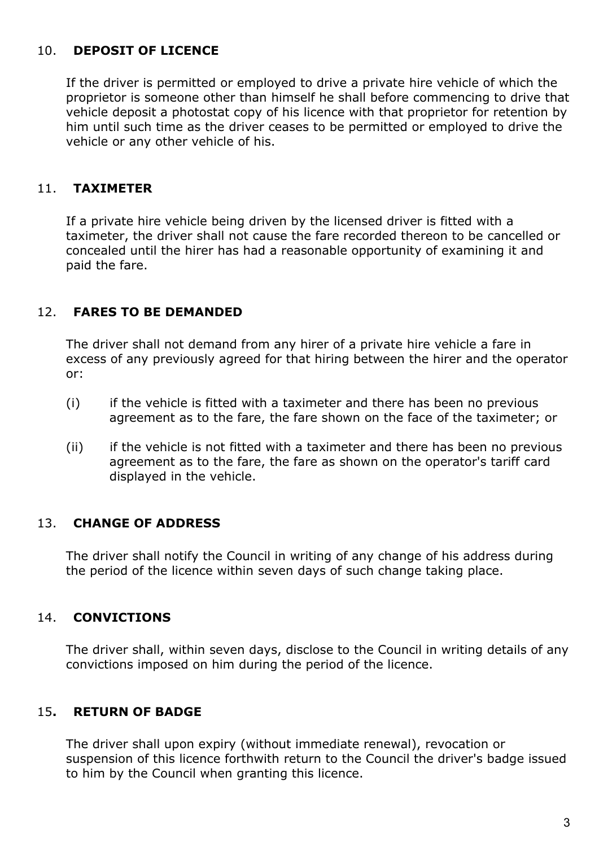## 10. **DEPOSIT OF LICENCE**

If the driver is permitted or employed to drive a private hire vehicle of which the proprietor is someone other than himself he shall before commencing to drive that vehicle deposit a photostat copy of his licence with that proprietor for retention by him until such time as the driver ceases to be permitted or employed to drive the vehicle or any other vehicle of his.

### 11. **TAXIMETER**

If a private hire vehicle being driven by the licensed driver is fitted with a taximeter, the driver shall not cause the fare recorded thereon to be cancelled or concealed until the hirer has had a reasonable opportunity of examining it and paid the fare.

### 12. **FARES TO BE DEMANDED**

The driver shall not demand from any hirer of a private hire vehicle a fare in excess of any previously agreed for that hiring between the hirer and the operator or:

- (i) if the vehicle is fitted with a taximeter and there has been no previous agreement as to the fare, the fare shown on the face of the taximeter; or
- (ii) if the vehicle is not fitted with a taximeter and there has been no previous agreement as to the fare, the fare as shown on the operator's tariff card displayed in the vehicle.

### 13. **CHANGE OF ADDRESS**

The driver shall notify the Council in writing of any change of his address during the period of the licence within seven days of such change taking place.

### 14. **CONVICTIONS**

The driver shall, within seven days, disclose to the Council in writing details of any convictions imposed on him during the period of the licence.

### 15**. RETURN OF BADGE**

The driver shall upon expiry (without immediate renewal), revocation or suspension of this licence forthwith return to the Council the driver's badge issued to him by the Council when granting this licence.